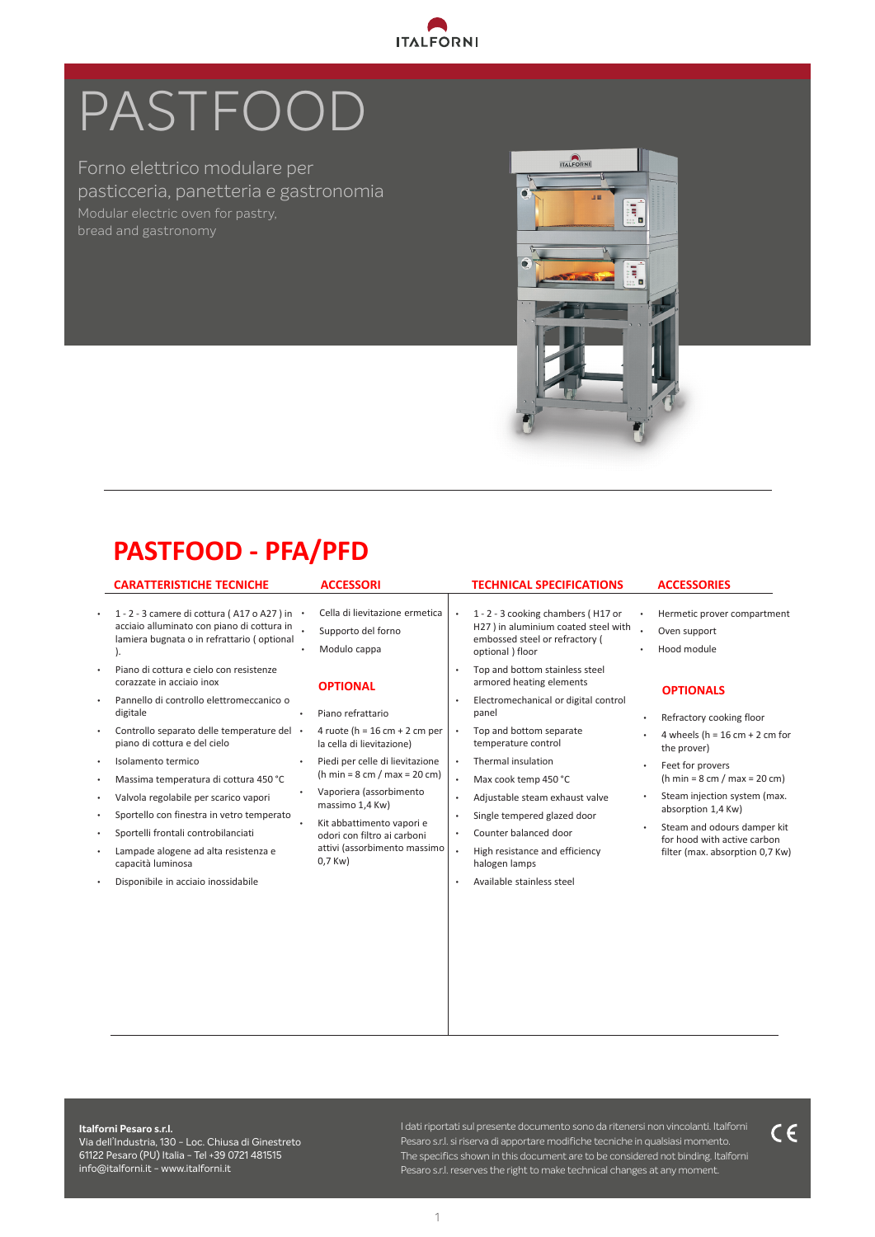

# PASTFOOD

Forno elettrico modulare per pasticceria, panetteria e gastronomia bread and gastronomy



# **PASTFOOD - PFA/PFD**

#### **CARATTERISTICHE TECNICHE ACCESSORI**

- 1 2 3 camere di cottura ( A17 o A27 ) in acciaio alluminato con piano di cottura in lamiera bugnata o in refrattario ( optional ).
- Piano di cottura e cielo con resistenze corazzate in acciaio inox
- Pannello di controllo elettromeccanico o digitale
- Controllo separato delle temperature del piano di cottura e del cielo
- Isolamento termico
- Massima temperatura di cottura 450 °C
- Valvola regolabile per scarico vapori
- Sportello con finestra in vetro temperato
- Sportelli frontali controbilanciati
- Lampade alogene ad alta resistenza e capacità luminosa
- Disponibile in acciaio inossidabile

• Cella di lievitazione ermetica Supporto del forno • Modulo cappa

#### **OPTIONAL**

- Piano refrattario
- 4 ruote (h =  $16$  cm + 2 cm per la cella di lievitazione)
- Piedi per celle di lievitazione (h min =  $8 \text{ cm} / \text{ max} = 20 \text{ cm}$ ) • Vaporiera (assorbimento
- massimo 1,4 Kw) • Kit abbattimento vapori e
- odori con filtro ai carboni attivi (assorbimento massimo 0,7 Kw)

#### **TECHNICAL SPECIFICATIONS**

- 1 2 3 cooking chambers ( H17 or H27 ) in aluminium coated steel with . embossed steel or refractory ( optional ) floor
- Top and bottom stainless steel armored heating elements
- Electromechanical or digital control panel
- Top and bottom separate temperature control
- Thermal insulation
- Max cook temp 450 °C
- Adjustable steam exhaust valve
- Single tempered glazed door
- Counter balanced door
- High resistance and efficiency halogen lamps
- Available stainless steel
- **ACCESSORIES**
- Hermetic prover compartment Oven support
- Hood module

#### **OPTIONALS**

- Refractory cooking floor
- 4 wheels (h =  $16$  cm + 2 cm for the prover)
- Feet for provers
- (h min =  $8 \text{ cm}$  / max =  $20 \text{ cm}$ ) Steam injection system (max. absorption 1,4 Kw)
- Steam and odours damper kit for hood with active carbon filter (max. absorption 0,7 Kw)

**Italforni Pesaro s.r.l.** 

Via dell'Industria, 130 - Loc. Chiusa di Ginestreto 61122 Pesaro (PU) Italia - Tel +39 0721 481515 info@italforni.it - www.italforni.it

1 The specifics shown in this document are to be considered not binding. Italforni I dati riportati sul presente documento sono da ritenersi non vincolanti. Italforni Pesaro s.r.l. si riserva di apportare modifiche tecniche in qualsiasi momento. Pesaro s.r.l. reserves the right to make technical changes at any moment.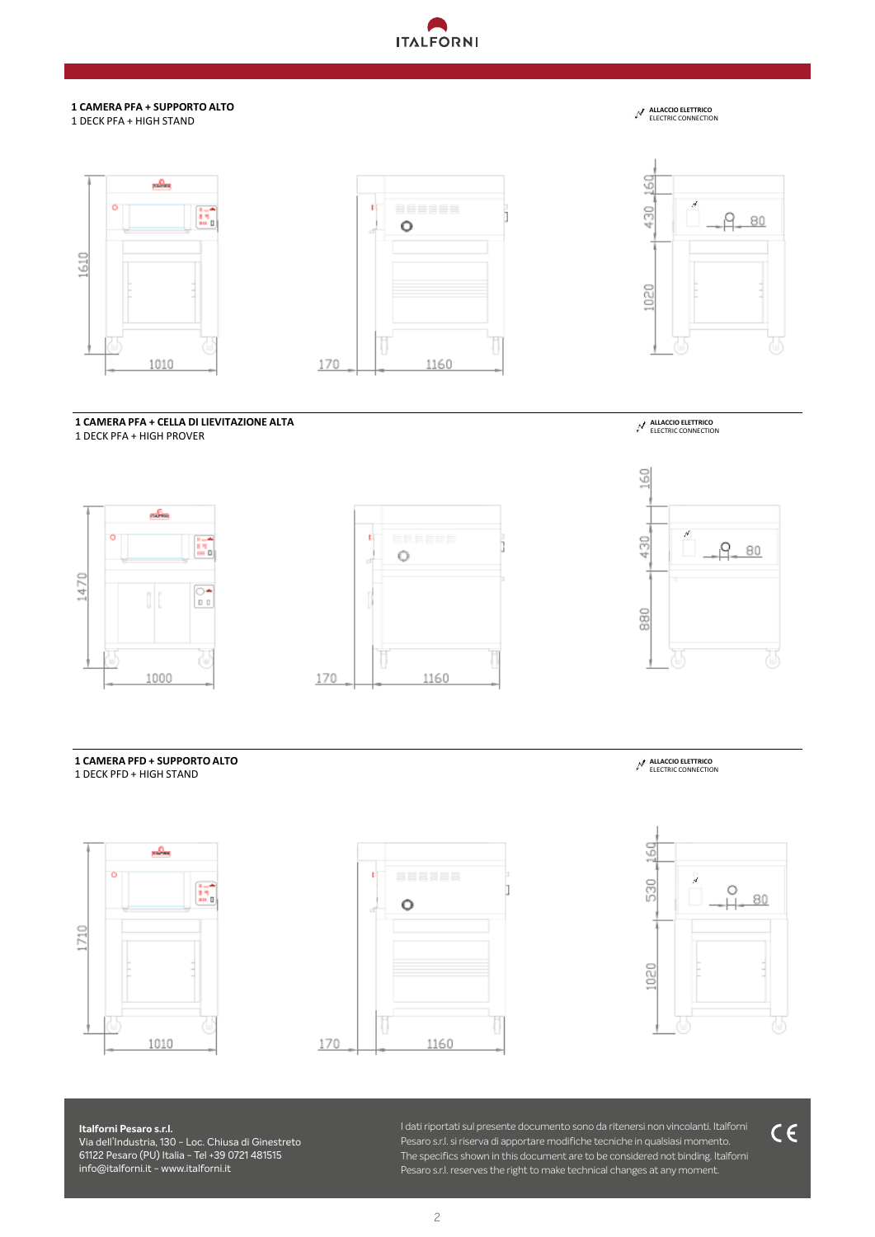# **ANTITALFORNI**

#### **1 CAMERA PFA + SUPPORTO ALTO** 1 DECK PFA + HIGH STAND







**ALLACCIO ELETTRICO** ELECTRIC CONNECTION

**1 CAMERA PFA + CELLA DI LIEVITAZIONE ALTA**

1 DECK PFA + HIGH PROVER









#### **1 CAMERA PFD + SUPPORTO ALTO** 1 DECK PFD + HIGH STAND









#### **Italforni Pesaro s.r.l.** Via dell'Industria, 130 - Loc. Chiusa di Ginestreto .1122 Pesaro (PU) Italia - Tel +39 0721 481515<br>-Tel +39 0721 48 15 15 - Fax +39 0721 48 24 53 info@italforni.it **· www.italforni.it Italforni Pesaro s.r.l.**  61122 Pesaro (PU) Italia - Tel +39 0721 481515 info@italforni.it - www.italforni.it

I dati riportati sul presente documento sono da ritenersi non vincolanti. Italforni Pesaro s.r.l. si riserva di apportare modifiche tecniche in qualsiasi momento. The specifics shown in this document are to be considered not binding. Italforni Pesaro s.r.l. reserves the right to make technical changes at any moment.

 $C \in$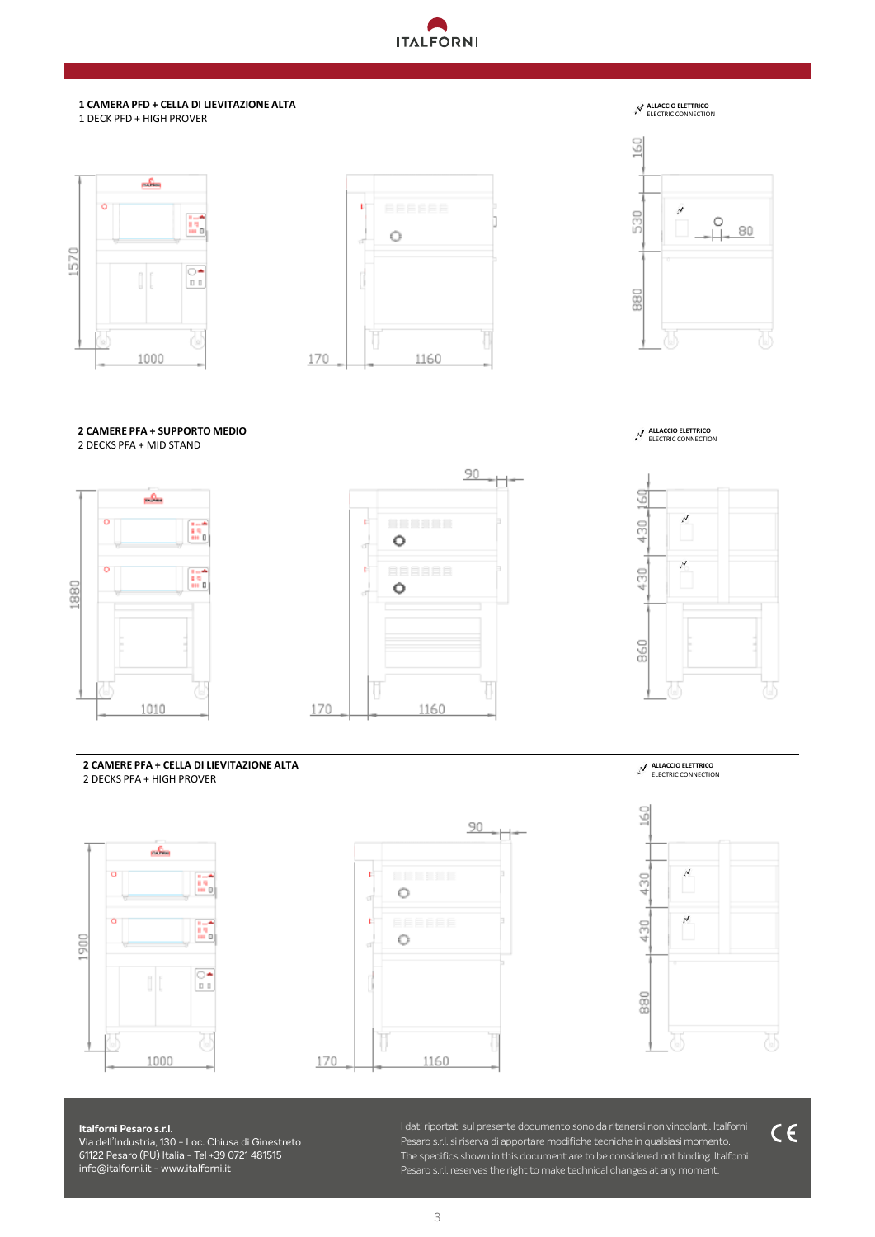

#### **1 CAMERA PFD + CELLA DI LIEVITAZIONE ALTA** 1 DECK PFD + HIGH PROVER

## $\Delta$ E, 1570  $\boxed{\circ}{\bullet}$ 0 1000



### **ALLACCIO ELETTRICO** ELECTRIC CONNECTION



**2 CAMERE PFA + SUPPORTO MEDIO**







**ALLACCIO ELETTRICO** ELECTRIC CONNECTION



**2 CAMERE PFA + CELLA DI LIEVITAZIONE ALTA** 2 DECKS PFA + HIGH PROVER





**ALLACCIO ELETTRICO** ELECTRIC CONNECTION



**Italforni Pesaro s.r.l.** Via dell'Industria, 130 - Loc. Chiusa di Ginestreto l**izz Pesaro (PU) Italia – 1el +39 0721 481515**<br>A servizioni industria 120 *·* 61121 Personalista 130 ·· **Italia Italforni Pesaro s.r.l.**  61122 Pesaro (PU) Italia - Tel +39 0721 481515 info@italforni.it - www.italforni.it

Tel +39 0721 48 15 15 - Fax +39 0721 48 24 53 info@italforni.it **· www.italforni.it** I dati riportati sul presente documento sono da ritenersi non vincolanti. Italforni Pesaro s.r.l. si riserva di apportare modifiche tecniche in qualsiasi momento. The specifics shown in this document are to be considered not binding. Italforni Pesaro s.r.l. reserves the right to make technical changes at any moment.

 $C \in$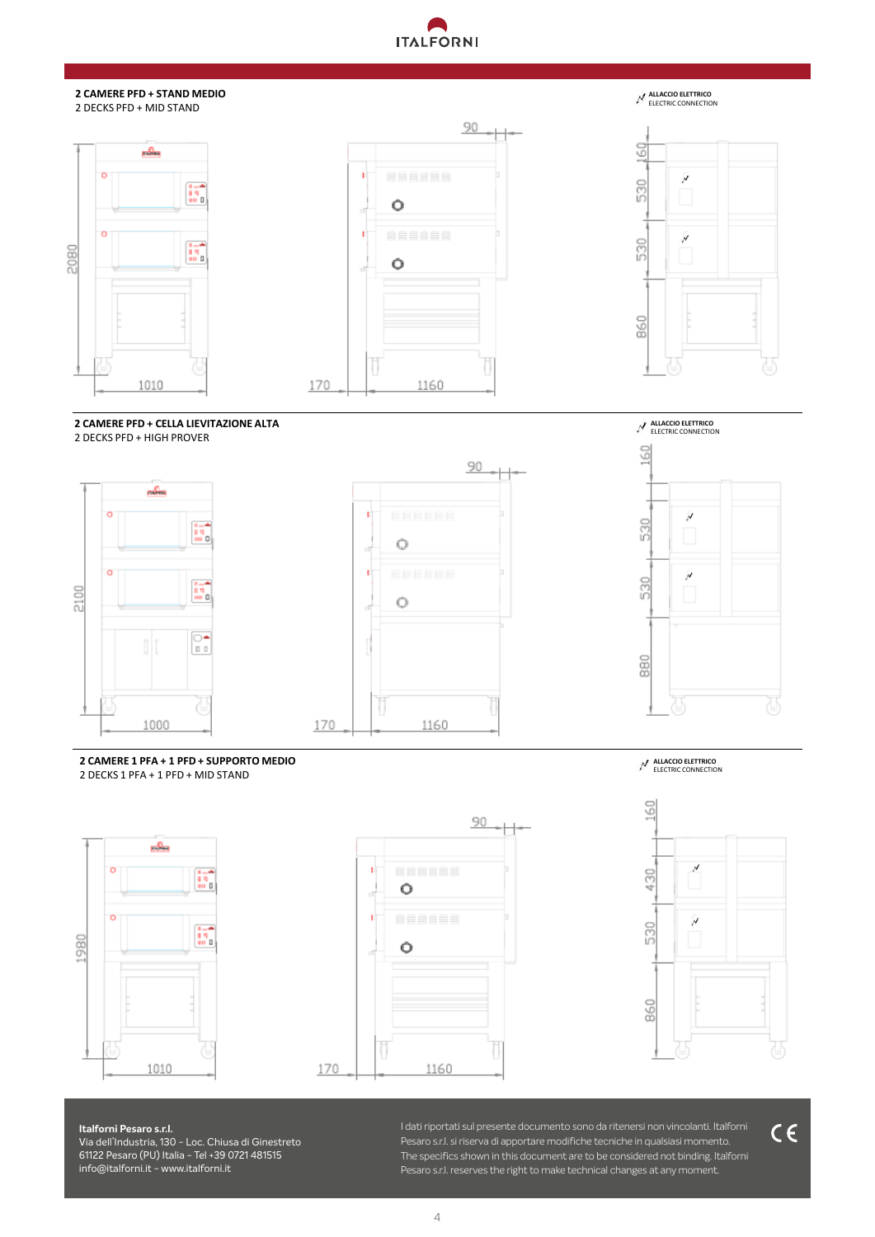# **TALFORNI**

#### **2 CAMERE PFD + STAND MEDIO** 2 DECKS PFD + MID STAND







**ALLACCIO ELETTRICO** ELECTRIC CONNECTION

**2 CAMERE PFD + CELLA LIEVITAZIONE ALTA** 2 DECKS PFD + HIGH PROVER





170

**ALLACCIO ELETTRICO** ELECTRIC CONNECTION 60  $\overline{\mathcal{N}}$ 530 530 880

**2 CAMERE 1 PFA + 1 PFD + SUPPORTO MEDIO** 2 DECKS 1 PFA + 1 PFD + MID STAND



90 **r**  $\circ$  $\mathbf{r}$  $\circ$ ij 170 1160

**ALLACCIO ELETTRICO** ELECTRIC CONNECTION



 $C \in$ 

**Italforni Pesaro s.r.l.** Via dell'Industria, 130 - Loc. Chiusa di Ginestreto .1122 Pesaro (PU) Italia - Tel +39 0721 481515<br>-**Italforni Pesaro s.r.l.**  61122 Pesaro (PU) Italia - Tel +39 0721 481515 info@italforni.it - www.italforni.it

Tel +39 0721 48 15 15 - Fax +39 0721 48 24 53 info@italforni.it **· www.italforni.it** I dati riportati sul presente documento sono da ritenersi non vincolanti. Italforni Pesaro s.r.l. si riserva di apportare modifiche tecniche in qualsiasi momento. The specifics shown in this document are to be considered not binding. Italforni Pesaro s.r.l. reserves the right to make technical changes at any moment.

4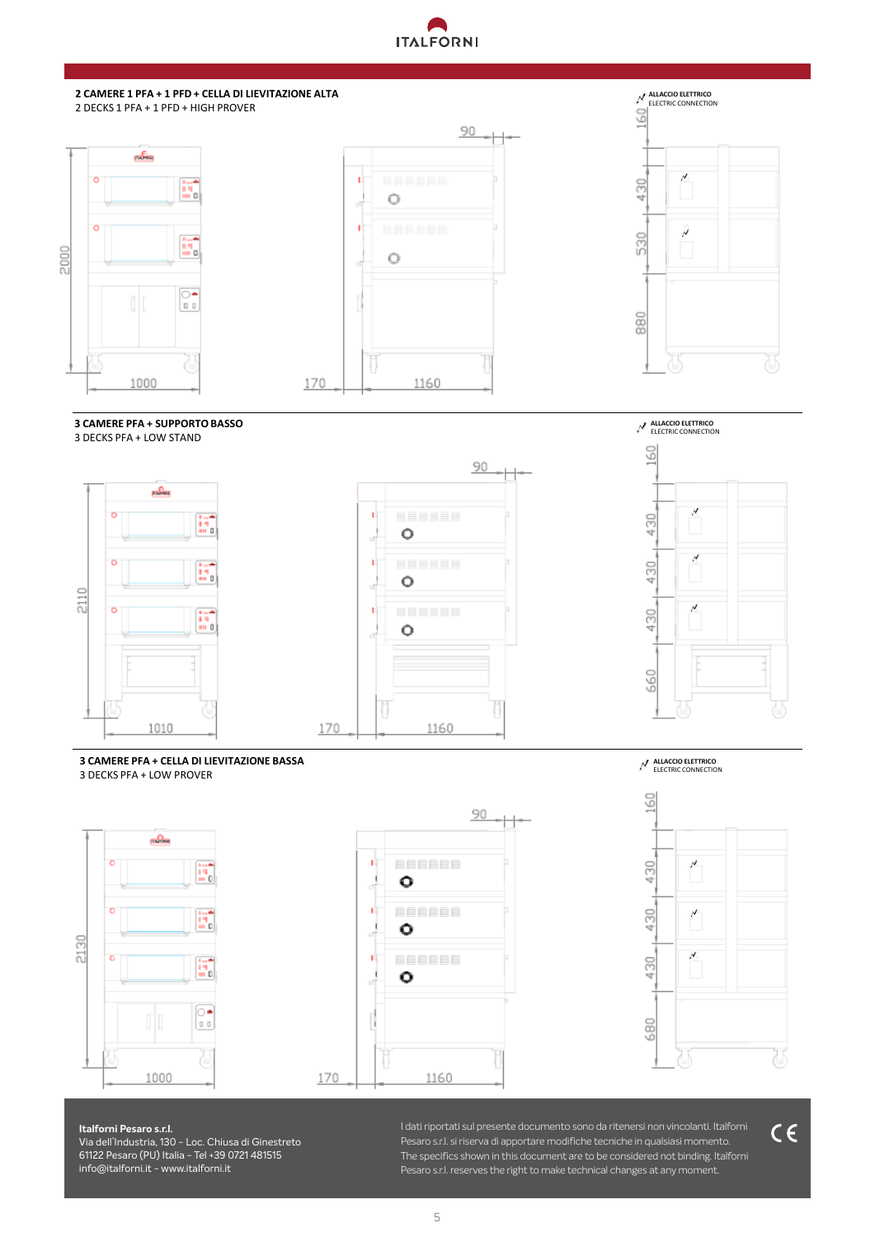# **TALFORNI**



#### **3 CAMERE PFA + SUPPORTO BASSO** 3 DECKS PFA + LOW STAND



**3 CAMERE PFA + CELLA DI LIEVITAZIONE BASSA**

3 DECKS PFA + LOW PROVER







**Italforni Pesaro s.r.l.** 

**Italforni Pesaro s.r.l.** Via dell'Industria, 130 - Loc. Chiusa di Ginestreto .1122 Pesaro (PU) Italia - Tel +39 0721 481515<br>-Tel +39 0721 48 15 15 - Fax +39 0721 48 24 53 info@italforni.it **· www.italforni.it** 61122 Pesaro (PU) Italia - Tel +39 0721 481515 info@italforni.it - www.italforni.it

I dati riportati sul presente documento sono da ritenersi non vincolanti. Italforni Pesaro s.r.l. si riserva di apportare modifiche tecniche in qualsiasi momento. The specifics shown in this document are to be considered not binding. Italforni Pesaro s.r.l. reserves the right to make technical changes at any moment.

**ALLACCIO ELETTRICO** ELECTRIC CONNECTION

**ALLACCIO ELETTRICO** ELECTRIC CONNECTION



5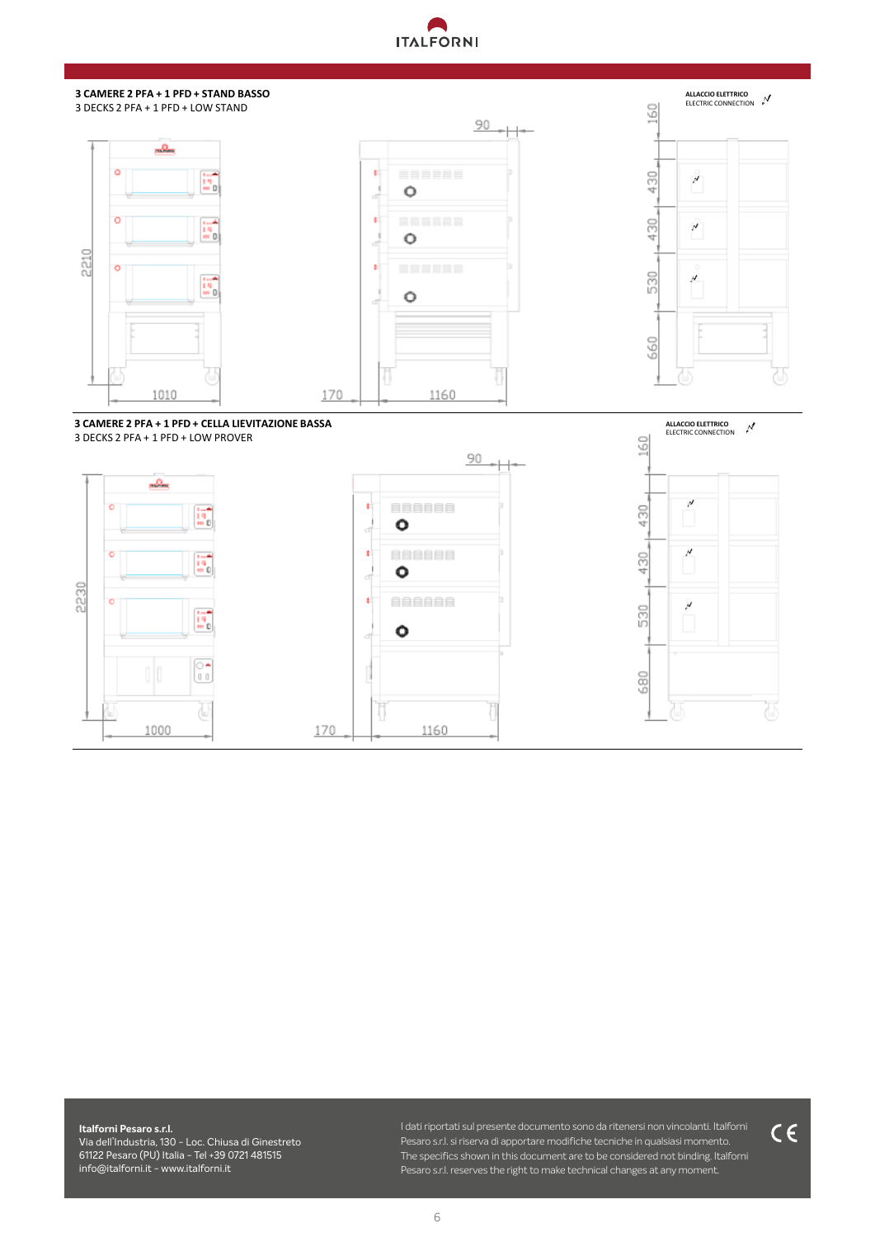# **ANTITALFORNI**



**Italforni Pesaro s.r.l.** Via dell'Industria, 130 - Loc. Chiusa di Ginestreto .1122 Pesaro (PU) Italia - Tel +39 0721 481515<br>-Tel +39 0721 48 15 15 - Fax +39 0721 48 24 53 info@italforni.it **· www.italforni.it Italforni Pesaro s.r.l.**  61122 Pesaro (PU) Italia - Tel +39 0721 481515 info@italforni.it - www.italforni.it

I dati riportati sul presente documento sono da ritenersi non vincolanti. Italforni Pesaro s.r.l. si riserva di apportare modifiche tecniche in qualsiasi momento. The specifics shown in this document are to be considered not binding. Italforni Pesaro s.r.l. reserves the right to make technical changes at any moment.

 $C \in$